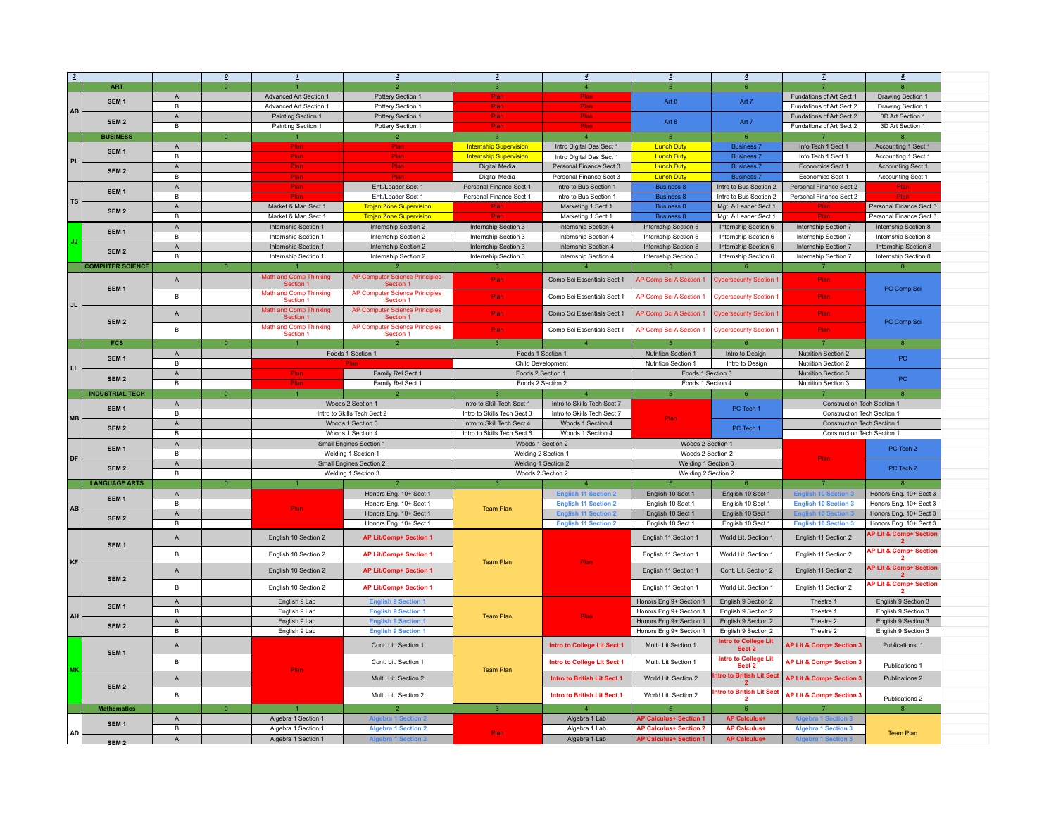| $\mathbf{3}$ |                                      |                   | $\boldsymbol{0}$ |                                                       | $\overline{2}$                                     | $\overline{\mathbf{3}}$       | $\overline{4}$                         | $\mathfrak s$                                                  | 6                                          | Z                           | 8                                                           |  |
|--------------|--------------------------------------|-------------------|------------------|-------------------------------------------------------|----------------------------------------------------|-------------------------------|----------------------------------------|----------------------------------------------------------------|--------------------------------------------|-----------------------------|-------------------------------------------------------------|--|
|              | <b>ART</b>                           |                   |                  |                                                       |                                                    |                               | $\mathbf{A}$                           |                                                                | 6                                          |                             |                                                             |  |
|              | SEM <sub>1</sub>                     | $\mathsf{A}$      |                  | Advanced Art Section 1                                | Pottery Section 1                                  | Plan                          | Plan                                   | Art 8                                                          | Art 7                                      | Fundations of Art Sect 1    | Drawing Section 1                                           |  |
| AB           |                                      | B                 |                  | Advanced Art Section 1                                | Pottery Section 1                                  | Plan                          | Plan                                   |                                                                |                                            | Fundations of Art Sect 2    | Drawing Section 1                                           |  |
|              |                                      | $\mathsf{A}$      |                  | Painting Section 1                                    | Pottery Section 1                                  | Plan                          | Plan                                   |                                                                |                                            | Fundations of Art Sect 2    | 3D Art Section 1                                            |  |
|              | SEM <sub>2</sub>                     | В                 |                  | Painting Section 1                                    | Pottery Section 1                                  | Plan                          | Plan                                   | Art 8                                                          | Art 7                                      | Fundations of Art Sect 2    | 3D Art Section 1                                            |  |
|              | <b>BUSINESS</b>                      |                   | $\Omega$         |                                                       |                                                    | $\overline{3}$                | $\overline{4}$                         | $\overline{5}$                                                 | 6                                          |                             |                                                             |  |
|              | SEM <sub>1</sub>                     | $\mathsf A$       |                  | Plan                                                  | Plan                                               | <b>Internship Supervision</b> | Intro Digital Des Sect 1               | <b>Lunch Duty</b>                                              | <b>Business 7</b>                          | Info Tech 1 Sect 1          | Accounting 1 Sect 1                                         |  |
| <b>PL</b>    |                                      | $\overline{B}$    |                  | Plan                                                  | Plan                                               | <b>Internship Supervision</b> | Intro Digital Des Sect 1               | <b>Lunch Duty</b>                                              | <b>Business 7</b>                          | Info Tech 1 Sect 1          | Accounting 1 Sect 1                                         |  |
|              | SEM <sub>2</sub>                     | $\mathsf{A}$      |                  | Plan                                                  | Plan                                               | Digital Media                 | Personal Finance Sect 3                | <b>Lunch Duty</b>                                              | <b>Business 7</b>                          | Economics Sect 1            | Accounting Sect 1                                           |  |
|              |                                      | $\overline{B}$    |                  | Plan                                                  | Diar                                               | Digital Media                 | Personal Finance Sect 3                | <b>Lunch Duty</b>                                              | <b>Business 7</b>                          | Economics Sect 1            | Accounting Sect 1                                           |  |
|              | SEM <sub>1</sub>                     | $\mathsf A$       |                  | Plar                                                  | Ent./Leader Sect 1                                 | Personal Finance Sect 1       | Intro to Bus Section 1                 | <b>Business 8</b>                                              | Intro to Bus Section 2                     | Personal Finance Sect 2     |                                                             |  |
| <b>TS</b>    |                                      | В                 |                  |                                                       | Ent./Leader Sect 1                                 | Personal Finance Sect 1       | Intro to Bus Section 1                 | <b>Business 8</b>                                              | Intro to Bus Section 2                     | Personal Finance Sect 2     |                                                             |  |
|              | SEM <sub>2</sub>                     | $\mathsf{A}$      |                  | Market & Man Sect 1                                   | <b>Trojan Zone Supervision</b>                     | Plan                          | Marketing 1 Sect 1                     | <b>Business 8</b>                                              | Mgt. & Leader Sect 1                       | Plan                        | Personal Finance Sect 3                                     |  |
|              |                                      | $\mathsf B$       |                  | Market & Man Sect 1                                   | <b>Trojan Zone Supervision</b>                     | <b>Plar</b>                   | Marketing 1 Sect 1                     | <b>Business 8</b>                                              | Mgt. & Leader Sect 1                       | Plar                        | Personal Finance Sect 3                                     |  |
|              | SEM <sub>1</sub>                     | $\mathsf A$       |                  | Internship Section 1                                  | Internship Section 2                               | Internship Section 3          | Internship Section 4                   | Internship Section 5                                           | Internship Section 6                       | Internship Section 7        | Internship Section 8                                        |  |
|              |                                      | В                 |                  | Internship Section 1                                  | Internship Section 2                               | Internship Section 3          | Internship Section 4                   | Internship Section 5                                           | Internship Section 6                       | Internship Section 7        | Internship Section 8                                        |  |
|              | SEM <sub>2</sub>                     | $\mathsf A$       |                  | Internship Section 1                                  | Internship Section 2                               | Internship Section 3          | Internship Section 4                   | Internship Section 5                                           | Internship Section 6                       | Internship Section 7        | Internship Section 8                                        |  |
|              |                                      | В                 |                  | Internship Section 1                                  | Internship Section 2                               | Internship Section 3          | Internship Section 4                   | Internship Section 5                                           | Internship Section 6                       | Internship Section 7        | Internship Section 8                                        |  |
|              | <b>COMPUTER SCIENCE</b>              |                   | $\bullet$        |                                                       |                                                    | $\overline{3}$                | $\overline{4}$                         | 5                                                              | 6                                          | $\overline{7}$              | $\mathbf{a}$                                                |  |
|              |                                      | $\mathsf A$       |                  | Math and Comp Thinking<br>Section 1                   | <b>AP Computer Science Principles</b><br>Section 1 | Plan<br>Plan                  | Comp Sci Essentials Sect 1             | AP Comp Sci A Section 1                                        | <b>Cybersecurity Section 1</b>             | Plan                        |                                                             |  |
|              | SEM <sub>1</sub>                     |                   |                  | Math and Comp Thinking                                | <b>AP Computer Science Principles</b>              |                               |                                        |                                                                |                                            |                             | PC Comp Sci                                                 |  |
| <b>JL</b>    |                                      | $\mathsf B$       |                  | Section 1                                             | Section 1                                          |                               | Comp Sci Essentials Sect 1             | AP Comp Sci A Section 1                                        | <b>Cybersecurity Section</b>               | Plan                        |                                                             |  |
|              |                                      | $\mathsf A$       |                  | Math and Comp Thinking<br>Section <sup>®</sup>        | AP Computer Science Principles<br>Section 1        | Plan                          | Comp Sci Essentials Sect 1             | AP Comp Sci A Section 1                                        | <b>Cybersecurity Section 1</b>             | Plan                        |                                                             |  |
|              | SEM <sub>2</sub>                     |                   |                  | Math and Comp Thinking                                | AP Computer Science Principles                     |                               |                                        |                                                                |                                            |                             | PC Comp Sci                                                 |  |
|              |                                      | B                 |                  | Section 1                                             | Section 1                                          | Plan                          | Comp Sci Essentials Sect 1             | AP Comp Sci A Section 1                                        | <b>Cybersecurity Section 1</b>             | Plan                        |                                                             |  |
|              | <b>FCS</b>                           |                   | $\overline{0}$   | $\mathbf{1}$                                          | $\overline{2}$                                     | 3 <sup>°</sup>                | $\overline{4}$                         |                                                                | $6\overline{6}$                            | $\overline{7}$              | $\mathbf{8}$                                                |  |
|              | SEM <sub>1</sub>                     | $\mathsf A$       |                  |                                                       | Foods 1 Section 1                                  | Foods 1 Section 1             |                                        | Nutrition Section 1                                            | Intro to Design                            | Nutrition Section 2         | PC.                                                         |  |
| LL.          |                                      | $\mathsf B$       |                  |                                                       |                                                    | Child Development             |                                        | Nutrition Section 1                                            | Intro to Design                            | Nutrition Section 2         |                                                             |  |
|              | SEM <sub>2</sub>                     | $\mathsf A$       |                  | <b>Plan</b>                                           | Family Rel Sect 1                                  | Foods 2 Section 1             |                                        | Foods 1 Section 3                                              |                                            | Nutrition Section 3         | PC                                                          |  |
|              |                                      | В                 |                  | Plan                                                  | Family Rel Sect 1                                  | Foods 2 Section 2             |                                        | Foods 1 Section 4                                              |                                            | Nutrition Section 3         |                                                             |  |
|              | <b>INDUSTRIAL TECH</b>               |                   | $\overline{0}$   | $\mathbf{1}$                                          |                                                    |                               | $\mathbf{A}$                           | -5                                                             | $6\overline{6}$                            |                             | $\mathbf{R}$                                                |  |
|              | SEM <sub>1</sub><br>SEM <sub>2</sub> | $\mathsf{A}$      |                  |                                                       | Woods 2 Section 1                                  | Intro to Skill Tech Sect 1    | Intro to Skills Tech Sect 7            |                                                                | PC Tech 1                                  | Construction Tech Section 1 |                                                             |  |
| <b>MB</b>    |                                      | B                 |                  | Intro to Skills Tech Sect 2                           |                                                    | Intro to Skills Tech Sect 3   | Intro to Skills Tech Sect 7            | Plan                                                           |                                            | Construction Tech Section 1 |                                                             |  |
|              |                                      | $\mathsf{A}$      |                  | Woods 1 Section 3<br>Woods 1 Section 4                |                                                    | Intro to Skill Tech Sect 4    | Woods 1 Section 4                      |                                                                | PC Tech 1                                  | Construction Tech Section 1 |                                                             |  |
|              |                                      | $\mathsf B$       |                  |                                                       |                                                    | Intro to Skills Tech Sect 6   | Woods 1 Section 4<br>Woods 1 Section 2 | Woods 2 Section 1                                              |                                            | Construction Tech Section 1 |                                                             |  |
|              | SEM <sub>1</sub>                     | $\mathsf A$<br>В  |                  | <b>Small Engines Section 1</b><br>Welding 1 Section 1 |                                                    | Welding 2 Section 1           |                                        | Woods 2 Section 2                                              |                                            |                             | PC Tech 2                                                   |  |
| DF           |                                      |                   |                  | Small Engines Section 2                               |                                                    |                               |                                        |                                                                |                                            |                             |                                                             |  |
|              |                                      |                   |                  |                                                       |                                                    |                               |                                        |                                                                |                                            | Plan                        |                                                             |  |
|              | SEM <sub>2</sub>                     | $\mathsf A$       |                  |                                                       |                                                    | Welding 1 Section 2           |                                        | Welding 1 Section 3                                            |                                            |                             | PC Tech 2                                                   |  |
|              |                                      | В                 |                  |                                                       | Welding 1 Section 3                                | Woods 2 Section 2             |                                        | Welding 2 Section 2                                            |                                            |                             |                                                             |  |
|              | <b>LANGUAGE ARTS</b>                 |                   | $\overline{0}$   |                                                       |                                                    | $\mathbf{3}$                  | 4 <sup>1</sup>                         |                                                                | 6                                          | $\overline{7}$              |                                                             |  |
|              | SEM <sub>1</sub>                     | $\mathsf{A}$      |                  |                                                       | Honors Eng. 10+ Sect 1                             |                               | <b>English 11 Section 2</b>            | English 10 Sect 1                                              | English 10 Sect 1                          |                             | Honors Eng. 10+ Sect 3                                      |  |
| AB           |                                      | $\mathsf B$       |                  | Plan                                                  | Honors Eng. 10+ Sect 1                             | <b>Team Plan</b>              | <b>English 11 Section 2</b>            | English 10 Sect 1<br>English 10 Sect 1                         | English 10 Sect 1                          | <b>English 10 Section 3</b> | Honors Eng. 10+ Sect 3                                      |  |
|              | SEM <sub>2</sub>                     | $\mathsf{A}$<br>В |                  |                                                       | Honors Eng. 10+ Sect 1                             |                               | <b>English 11 Section 2</b>            |                                                                | English 10 Sect 1<br>English 10 Sect 1     |                             | Honors Eng. 10+ Sect 3                                      |  |
|              |                                      |                   |                  |                                                       | Honors Eng. 10+ Sect 1                             |                               | <b>English 11 Section 2</b>            | English 10 Sect 1                                              |                                            | <b>English 10 Section 3</b> | Honors Eng. 10+ Sect 3<br><b>AP Lit &amp; Comp+ Section</b> |  |
|              | SEM <sub>1</sub>                     | $\mathsf A$       |                  | English 10 Section 2                                  | <b>AP Lit/Comp+ Section 1</b>                      |                               |                                        | English 11 Section 1                                           | World Lit. Section 1                       | English 11 Section 2        |                                                             |  |
|              |                                      | B                 |                  | English 10 Section 2                                  | <b>AP Lit/Comp+ Section 1</b>                      |                               |                                        | English 11 Section 1                                           | World Lit. Section 1                       | English 11 Section 2        | AP Lit & Comp+ Section                                      |  |
| KF           |                                      |                   |                  |                                                       |                                                    | <b>Team Plan</b>              | Plan                                   |                                                                |                                            |                             |                                                             |  |
|              |                                      | $\mathsf A$       |                  | English 10 Section 2                                  | <b>AP Lit/Comp+ Section 1</b>                      |                               |                                        | English 11 Section 1                                           | Cont. Lit. Section 2                       | English 11 Section 2        | AP Lit & Comp+ Section                                      |  |
|              | SEM <sub>2</sub>                     | $\mathsf B$       |                  | English 10 Section 2                                  | <b>AP Lit/Comp+ Section 1</b>                      |                               |                                        | English 11 Section 1                                           | World Lit. Section 1                       | English 11 Section 2        | AP Lit & Comp+ Section                                      |  |
|              |                                      |                   |                  |                                                       |                                                    |                               |                                        |                                                                |                                            |                             |                                                             |  |
|              | SEM <sub>1</sub>                     | $\,$ A            |                  | English 9 Lab                                         | <b>English 9 Section 1</b>                         |                               |                                        | Honors Eng 9+ Section 1                                        | English 9 Section 2                        | Theatre 1                   | English 9 Section 3                                         |  |
| AH           |                                      | В                 |                  | English 9 Lab                                         | <b>English 9 Section 1</b>                         | <b>Team Plan</b>              | Plan                                   | Honors Eng 9+ Section 1                                        | English 9 Section 2                        | Theatre 1                   | English 9 Section 3                                         |  |
|              | SEM <sub>2</sub>                     | $\mathsf A$       |                  | English 9 Lab                                         | <b>English 9 Section 1</b>                         |                               |                                        | Honors Eng 9+ Section 1                                        | English 9 Section 2                        | Theatre 2                   | English 9 Section 3                                         |  |
|              |                                      | В                 |                  | English 9 Lab                                         | <b>English 9 Section 1</b>                         |                               |                                        | Honors Eng 9+ Section 1                                        | English 9 Section 2                        | Theatre 2                   | English 9 Section 3                                         |  |
|              |                                      | $\mathsf A$       |                  |                                                       | Cont. Lit. Section 1                               |                               | Intro to College Lit Sect 1            | Multi. Lit Section 1                                           | <b>Intro to College Lit</b><br>Sect 2      | AP Lit & Comp+ Section 3    | Publications 1                                              |  |
|              | SEM <sub>1</sub>                     | $\mathsf B$       |                  |                                                       | Cont. Lit. Section 1                               |                               | Intro to College Lit Sect 1            | Multi. Lit Section 1                                           | <b>Intro to College Lit</b>                | AP Lit & Comp+ Section 3    |                                                             |  |
| MK           |                                      |                   |                  | Plan                                                  |                                                    | <b>Team Plan</b>              |                                        |                                                                | Sect 2                                     |                             | Publications 1                                              |  |
|              |                                      | $\mathsf A$       |                  |                                                       | Multi, Lit. Section 2                              |                               | Intro to British Lit Sect 1            | World Lit. Section 2                                           | ntro to British Lit Sect                   | AP Lit & Comp+ Section 3    | Publications 2                                              |  |
|              | SEM <sub>2</sub>                     | B                 |                  |                                                       |                                                    |                               |                                        |                                                                | ntro to British Lit Sect                   |                             |                                                             |  |
|              |                                      |                   |                  |                                                       | Multi. Lit. Section 2                              |                               | Intro to British Lit Sect 1            | World Lit. Section 2                                           | $\overline{2}$                             | AP Lit & Comp+ Section 3    | Publications 2                                              |  |
|              | <b>Mathematics</b>                   |                   | $\overline{0}$   |                                                       | $\overline{2}$                                     | 3 <sup>°</sup>                | $\mathbf{A}$                           | $5\overline{5}$                                                | $6^{\circ}$                                | $\overline{7}$              | 8                                                           |  |
|              | SEM <sub>1</sub>                     | $\mathsf A$       |                  | Algebra 1 Section 1                                   |                                                    |                               | Algebra 1 Lab                          | <b>AP Calculus+ Section 1</b>                                  | <b>AP Calculus+</b>                        |                             |                                                             |  |
| <b>AD</b>    |                                      | B<br>$\mathsf A$  |                  | Algebra 1 Section 1<br>Algebra 1 Section 1            | <b>Algebra 1 Section 2</b>                         | Plan                          | Algebra 1 Lab<br>Algebra 1 Lab         | <b>AP Calculus+ Section 2</b><br><b>AP Calculus+ Section 1</b> | <b>AP Calculus+</b><br><b>AP Calculus+</b> | <b>Algebra 1 Section 3</b>  | <b>Team Plan</b>                                            |  |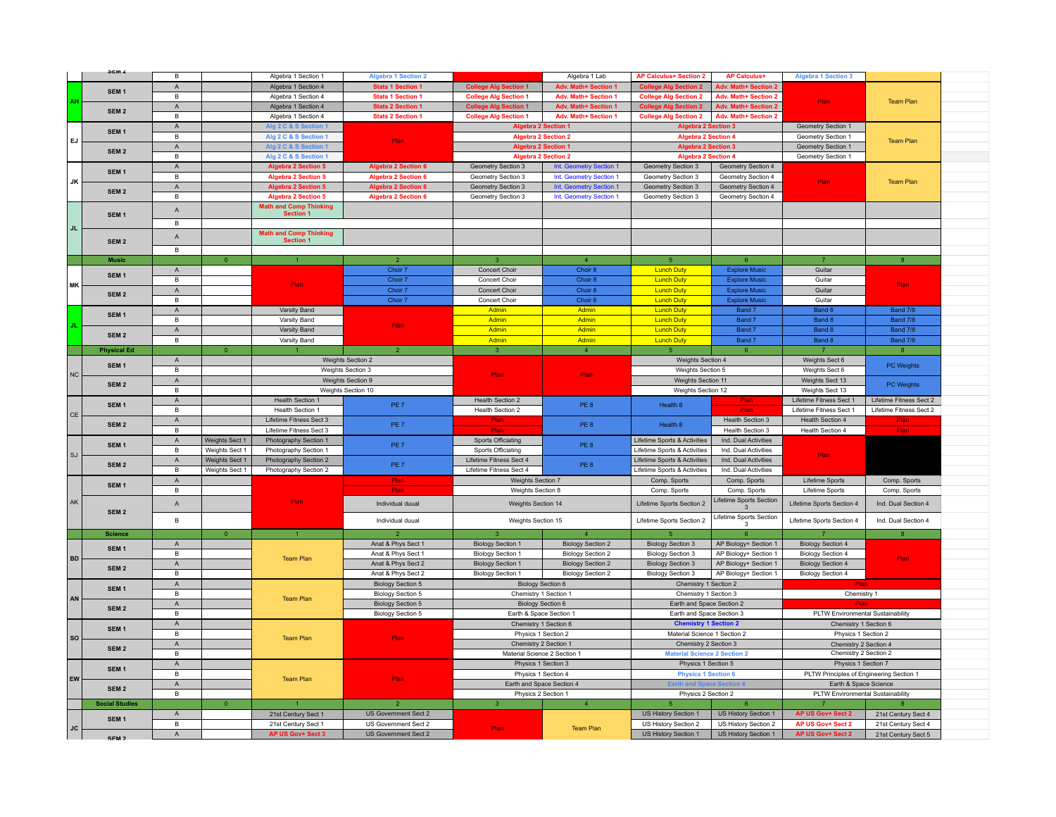|                        | JEW 4                                | B              |                | Algebra 1 Section 1           | <b>Algebra 1 Section 2</b> |                              | Algebra 1 Lab             | <b>AP Calculus+ Section 2</b>       | <b>AP Calculus+</b>         | <b>Algebra 1 Section 3</b>                     |                         |  |
|------------------------|--------------------------------------|----------------|----------------|-------------------------------|----------------------------|------------------------------|---------------------------|-------------------------------------|-----------------------------|------------------------------------------------|-------------------------|--|
|                        |                                      | $\mathsf{A}$   |                | Algebra 1 Section 4           | <b>Stats 1 Section 1</b>   |                              | Adv. Math+ Section 1      | Coll<br>e Ala Se<br>ction 2         | <b>Adv. Math+ Section 2</b> |                                                |                         |  |
|                        | SEM <sub>1</sub>                     |                |                |                               |                            | <b>College Alg Section 1</b> |                           |                                     |                             |                                                |                         |  |
| ΔH                     |                                      | B              |                | Algebra 1 Section 4           | <b>Stats 1 Section 1</b>   | <b>College Alg Section 1</b> | Adv. Math+ Section 1      | <b>College Alg Section 2</b>        | Adv. Math+ Section 2        | Plan                                           | <b>Team Plan</b>        |  |
|                        | SEM <sub>2</sub>                     | $\mathsf{A}$   |                | Algebra 1 Section 4           | <b>Stats 2 Section 1</b>   | <b>College Alg Section 1</b> | Adv. Math+ Section 1      | <b>College Alg Section 2</b>        | <b>Adv. Math+ Section 2</b> |                                                |                         |  |
|                        |                                      | $\overline{B}$ |                | Algebra 1 Section 4           | <b>Stats 2 Section 1</b>   | <b>College Alg Section 1</b> | Adv. Math+ Section 1      | <b>College Alg Section 2</b>        | Adv. Math+ Section 2        |                                                |                         |  |
|                        |                                      | $\mathsf A$    |                | <b>Ng 2 C &amp; S S</b>       |                            | <b>Algebra 2 Section 1</b>   |                           | <b>Algebra 2 Section 3</b>          |                             | Geometry Section 1                             |                         |  |
|                        | SEM <sub>1</sub><br>SEM <sub>2</sub> | B              |                | Alg 2 C & S Section 1         |                            | <b>Algebra 2 Section 2</b>   |                           | <b>Algebra 2 Section 4</b>          |                             | Geometry Section 1                             |                         |  |
| EJ                     |                                      | $\mathsf{A}$   |                | Alg 2 C & S Section 1         | Plan                       | <b>Algebra 2 Section 1</b>   |                           | <b>Algebra 2 Section 3</b>          |                             | Geometry Section 1                             | <b>Team Plan</b>        |  |
|                        |                                      | $\overline{B}$ |                | Alg 2 C & S Section 1         |                            | <b>Algebra 2 Section 2</b>   |                           | <b>Algebra 2 Section 4</b>          |                             | Geometry Section 1                             |                         |  |
|                        |                                      |                |                |                               | <b>Algebra 2 Section 6</b> |                              |                           |                                     |                             |                                                |                         |  |
|                        | SEM <sub>1</sub>                     | A              |                | <b>Algebra 2 Section 5</b>    |                            | Geometry Section 3           | Int. Geometry Section 1   | Geometry Section 3                  | Geometry Section 4          |                                                |                         |  |
| JK                     |                                      | $\mathsf B$    |                | <b>Algebra 2 Section 5</b>    | <b>Algebra 2 Section 6</b> | Geometry Section 3           | Int. Geometry Section 1   | Geometry Section 3                  | Geometry Section 4          | Plan                                           | <b>Team Plan</b>        |  |
|                        | SEM <sub>2</sub>                     | A              |                | <b>Algebra 2 Section 5</b>    | <b>Algebra 2 Section 6</b> | Geometry Section 3           | Int. Geometry Section 1   | Geometry Section 3                  | Geometry Section 4          |                                                |                         |  |
|                        |                                      | В              |                | <b>Algebra 2 Section 5</b>    | <b>Algebra 2 Section 6</b> | Geometry Section 3           | Int. Geometry Section 1   | Geometry Section 3                  | Geometry Section 4          |                                                |                         |  |
|                        |                                      | $\mathsf{A}$   |                | <b>Math and Comp Thinking</b> |                            |                              |                           |                                     |                             |                                                |                         |  |
|                        | SEM <sub>1</sub>                     |                |                | <b>Section 1</b>              |                            |                              |                           |                                     |                             |                                                |                         |  |
| JL.                    |                                      | B              |                |                               |                            |                              |                           |                                     |                             |                                                |                         |  |
|                        |                                      |                |                | <b>Math and Comp Thinking</b> |                            |                              |                           |                                     |                             |                                                |                         |  |
|                        | SEM <sub>2</sub>                     | $\mathsf{A}$   |                | <b>Section 1</b>              |                            |                              |                           |                                     |                             |                                                |                         |  |
|                        |                                      | В              |                |                               |                            |                              |                           |                                     |                             |                                                |                         |  |
|                        | <b>Music</b>                         |                | $\overline{0}$ |                               | $\overline{2}$             | $\mathbf{3}$                 | $\overline{4}$            | $\overline{5}$                      | 6                           | $\overline{7}$                                 | 8                       |  |
|                        |                                      | A              |                |                               | Choir 7                    | Concert Choir                | Choir 8                   | <b>Lunch Duty</b>                   | <b>Explore Music</b>        | Guitar                                         |                         |  |
|                        | SEM <sub>1</sub>                     | $\mathsf{B}$   |                |                               | Choir 7                    | Concert Choir                | Choir 8                   | <b>Lunch Duty</b>                   | <b>Explore Music</b>        | Guitar                                         |                         |  |
| <b>MK</b>              |                                      |                |                | Plan.                         | Choir 7                    | Concert Choir                |                           |                                     |                             | Guitar                                         | Plan:                   |  |
|                        | SEM <sub>2</sub>                     | A              |                |                               |                            |                              | Choir 8                   | <b>Lunch Duty</b>                   | <b>Explore Music</b>        |                                                |                         |  |
|                        |                                      | $\mathsf{B}$   |                |                               | Choir 7                    | Concert Choir                | Choir 8                   | <b>Lunch Duty</b>                   | <b>Explore Music</b>        | Guitar                                         |                         |  |
|                        | SEM <sub>1</sub>                     | $\mathsf A$    |                | Varsity Band                  |                            | Admin                        | Admin                     | <b>Lunch Duty</b>                   | Band 7                      | Band 8                                         | Band 7/8                |  |
|                        |                                      | В              |                | Varsity Band                  | Plan                       | Admin                        | Admin                     | <b>Lunch Duty</b>                   | Band 7                      | Band 8                                         | Band 7/8                |  |
|                        |                                      | $\mathsf{A}$   |                | Varsity Band                  |                            | Admin                        | Admin                     | <b>Lunch Duty</b>                   | Band 7                      | Band 8                                         | Band 7/8                |  |
|                        | SEM <sub>2</sub>                     | $\mathsf B$    |                | Varsity Band                  |                            | Admin                        | Admin                     | <b>Lunch Duty</b>                   | Band 7                      | Band 8                                         | Band 7/8                |  |
|                        | <b>Physical Ed</b>                   |                | $\Omega$       |                               |                            | $\overline{3}$               | $\overline{4}$            | $\kappa$                            | 6 <sup>1</sup>              | $\overline{7}$                                 | 8                       |  |
|                        |                                      | $\mathsf A$    |                |                               | Weights Section 2          |                              |                           | Weights Section 4                   |                             | Weights Sect 6                                 |                         |  |
|                        | SEM <sub>1</sub>                     | B              |                |                               |                            |                              |                           |                                     |                             | Weights Sect 6                                 | <b>PC Weights</b>       |  |
| $_{\rm NC}$            | SEM <sub>2</sub>                     |                |                | Weights Section 3             |                            | <b>Plan</b>                  | Plan                      | Weights Section 5                   |                             |                                                |                         |  |
|                        |                                      | $\mathsf{A}$   |                | Weights Section 9             |                            |                              |                           | Weights Section 11                  |                             | Weights Sect 13                                | PC Weights              |  |
|                        |                                      | $\overline{B}$ |                |                               | Weights Section 10         |                              |                           | Weights Section 12                  |                             | Weights Sect 13                                |                         |  |
|                        | SEM <sub>1</sub>                     | $\mathsf A$    |                | Health Section 1              | PE <sub>7</sub>            | Health Section 2             | PE8                       | Health 8                            | Plan                        | Lifetime Fitness Sect 1                        | Lifetime Fitness Sect 2 |  |
| CE                     |                                      | $\mathsf B$    |                | Health Section 1              |                            | Health Section 2             |                           |                                     | Plai                        | Lifetime Fitness Sect 1                        | Lifetime Fitness Sect 2 |  |
|                        |                                      | $\mathsf{A}$   |                | Lifetime Fitness Sect 3       |                            | Plan                         | PE8                       |                                     | Health Section 3            | Health Section 4                               | Plan                    |  |
|                        | SEM <sub>2</sub>                     |                |                |                               |                            |                              |                           | Health 8                            |                             |                                                |                         |  |
|                        |                                      |                |                |                               | PE <sub>7</sub>            | <b>Dia</b>                   |                           |                                     |                             |                                                | Plar                    |  |
|                        |                                      | В              |                | Lifetime Fitness Sect 3       |                            |                              |                           |                                     | Health Section 3            | Health Section 4                               |                         |  |
|                        | SEM <sub>1</sub>                     | $\mathsf A$    | Weights Sect 1 | Photography Section 1         | PE 7                       | <b>Sports Officiating</b>    | PE <sub>8</sub>           | Lifetime Sports & Activities        | Ind. Dual Activities        |                                                |                         |  |
| $\mathbb{S}\mathbb{J}$ |                                      | B              | Weights Sect 1 | Photography Section 1         |                            | Sports Officiating           |                           | Lifetime Sports & Activities        | Ind. Dual Activities        | Plan                                           |                         |  |
|                        | SEM <sub>2</sub>                     | $\mathsf{A}$   | Weights Sect 1 | Photography Section 2         | PE <sub>7</sub>            | Lifetime Fitness Sect 4      | PE 8                      | Lifetime Sports & Activities        | Ind. Dual Activities        |                                                |                         |  |
|                        |                                      | $\mathsf{B}$   | Weights Sect 1 | Photography Section 2         |                            | Lifetime Fitness Sect 4      |                           | Lifetime Sports & Activities        | Ind. Dual Activities        |                                                |                         |  |
|                        |                                      | $\mathsf A$    |                |                               | Plan                       | Weights Section 7            |                           | Comp. Sports                        | Comp. Sports                | Lifetime Sports                                | Comp. Sports            |  |
|                        | SEM <sub>1</sub>                     | В              |                |                               | Plan                       | Weights Section 8            |                           | Comp. Sports                        | Comp. Sports                | Lifetime Sports                                | Comp. Sports            |  |
| AK                     |                                      |                |                | Plan                          |                            |                              |                           |                                     | Lifetime Sports Section     |                                                |                         |  |
|                        |                                      | $\mathsf A$    |                |                               | Individual duual           | Weights Section 14           |                           | Lifetime Sports Section 2           |                             | Lifetime Sports Section 4                      | Ind. Dual Section 4     |  |
|                        | SEM <sub>2</sub>                     |                |                |                               |                            |                              |                           |                                     | Lifetime Sports Section     |                                                |                         |  |
|                        |                                      | $\mathsf B$    |                |                               | Individual duual           | Weights Section 15           |                           | Lifetime Sports Section 2           |                             | Lifetime Sports Section 4                      | Ind. Dual Section 4     |  |
|                        | <b>Science</b>                       |                | $\overline{0}$ |                               |                            | $\mathbf{R}$                 | $\Delta$                  |                                     |                             |                                                |                         |  |
|                        |                                      | $\mathsf{A}$   |                |                               | Anat & Phys Sect 1         | <b>Biology Section 1</b>     | <b>Biology Section 2</b>  | <b>Biology Section 3</b>            | AP Biology+ Section 1       | <b>Biology Section 4</b>                       |                         |  |
|                        | SEM <sub>1</sub>                     | В              |                |                               | Anat & Phys Sect 1         | <b>Biology Section 1</b>     | <b>Biology Section 2</b>  | <b>Biology Section 3</b>            | AP Biology+ Section 1       | <b>Biology Section 4</b>                       |                         |  |
| <b>BD</b>              |                                      | $\mathsf{A}$   |                | <b>Team Plan</b>              | Anat & Phys Sect 2         |                              | <b>Biology Section 2</b>  | <b>Biology Section 3</b>            | AP Biology+ Section 1       |                                                | Plan                    |  |
|                        | SEM <sub>2</sub>                     | $\mathsf{B}$   |                |                               | Anat & Phys Sect 2         | <b>Biology Section 1</b>     | <b>Biology Section 2</b>  | <b>Biology Section 3</b>            | AP Biology+ Section 1       | <b>Biology Section 4</b>                       |                         |  |
|                        |                                      |                |                |                               |                            | <b>Biology Section 1</b>     |                           |                                     |                             | <b>Biology Section 4</b>                       |                         |  |
|                        | SEM <sub>1</sub>                     | $\mathsf A$    |                |                               | <b>Biology Section 5</b>   |                              | Biology Section 6         | Chemistry 1 Section 2               |                             |                                                |                         |  |
| AN                     |                                      | $\mathsf B$    |                | <b>Team Plan</b>              | Biology Section 5          | Chemistry 1 Section 1        |                           | Chemistry 1 Section 3               |                             | Chemistry 1                                    |                         |  |
|                        | SEM <sub>2</sub>                     | $\mathsf A$    |                |                               | <b>Biology Section 5</b>   |                              | Biology Section 6         | Earth and Space Section 2           |                             |                                                |                         |  |
|                        |                                      | B              |                |                               | <b>Biology Section 5</b>   | Earth & Space Section 1      |                           | Earth and Space Section 3           |                             | PLTW Environmental Sustainability              |                         |  |
|                        |                                      | $\mathsf A$    |                |                               |                            | Chemistry 1 Section 6        |                           | <b>Chemistry 1 Section 2</b>        |                             | Chemistry 1 Section 6                          |                         |  |
|                        | SEM <sub>1</sub>                     | В              |                |                               |                            | Physics 1 Section 2          |                           | Material Science 1 Section 2        |                             | Physics 1 Section 2                            |                         |  |
| ${\sf SO}$             |                                      | A              |                | <b>Team Plan</b>              | Plan                       | Chemistry 2 Section 1        |                           | Chemistry 2 Section 3               |                             |                                                |                         |  |
|                        | SEM <sub>2</sub>                     | B              |                |                               |                            |                              |                           |                                     |                             | Chemistry 2 Section 4<br>Chemistry 2 Section 2 |                         |  |
|                        |                                      |                |                |                               |                            | Material Science 2 Section 1 |                           | <b>Material Science 2 Section 2</b> |                             |                                                |                         |  |
|                        | SEM <sub>1</sub>                     | $\mathsf A$    |                |                               |                            | Physics 1 Section 3          |                           | Physics 1 Section 5                 |                             | Physics 1 Section 7                            |                         |  |
| EW                     |                                      | $\mathsf B$    |                | <b>Team Plan</b>              | Plan                       | Physics 1 Section 4          |                           | <b>Physics 1 Section 6</b>          |                             | PLTW Principles of Engineering Section 1       |                         |  |
|                        | SEM <sub>2</sub>                     | $\mathsf A$    |                |                               |                            |                              | Earth and Space Section 4 |                                     |                             | Earth & Space Science                          |                         |  |
|                        |                                      | $\mathsf{B}$   |                |                               |                            | Physics 2 Section 1          |                           | Physics 2 Section 2                 |                             | PLTW Environmental Sustainability              |                         |  |
|                        | <b>Social Studies</b>                |                | $\overline{0}$ |                               | $\overline{2}$             |                              | $\overline{4}$            | 5                                   |                             | $\overline{7}$                                 |                         |  |
|                        |                                      | $\mathsf A$    |                | 21st Century Sect 1           | US Government Sect 2       |                              |                           | US History Section 1                | US History Section 1        | AP US Gov+ Sect 2                              | 21st Century Sect 4     |  |
|                        | SEM <sub>1</sub>                     | В              |                | 21st Century Sect 1           | US Government Sect 2       |                              |                           | US History Section 2                | US History Section 2        | AP US Gov+ Sect 2                              | 21st Century Sect 4     |  |
| <b>JC</b>              | SFM <sub>2</sub>                     | A              |                | AP US Gov+ Sect 3             | US Government Sect 2       | Plan                         | <b>Team Plan</b>          | US History Section 1                | US History Section 1        | AP US Gov+ Sect 2                              | 21st Century Sect 5     |  |